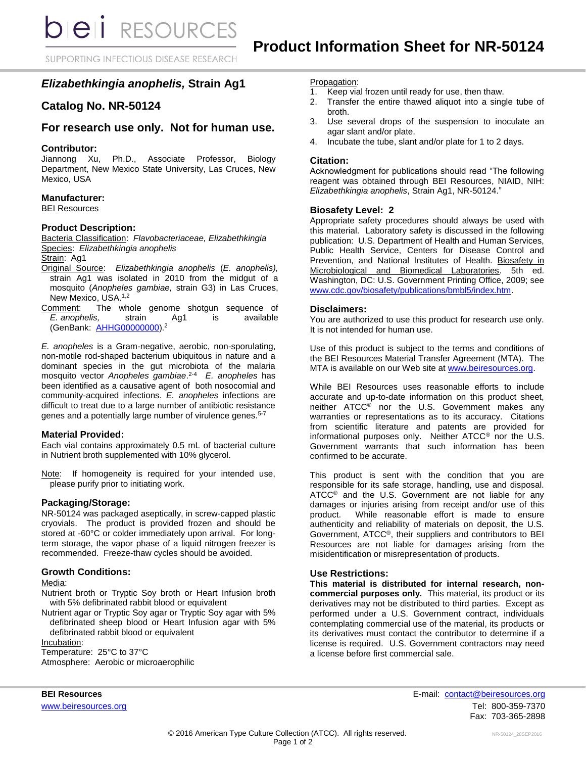SUPPORTING INFECTIOUS DISEASE RESEARCH

# *Elizabethkingia anophelis,* **Strain Ag1**

# **Catalog No. NR-50124**

# **For research use only. Not for human use.**

# **Contributor:**

Jiannong Xu, Ph.D., Associate Professor, Biology Department, New Mexico State University, Las Cruces, New Mexico, USA

# **Manufacturer:**

BEI Resources

# **Product Description:**

Bacteria Classification: *Flavobacteriaceae, Elizabethkingia* Species: *Elizabethkingia anophelis*

Strain: Ag1

- Original Source: *Elizabethkingia anophelis* (*E. anophelis),*  strain Ag1 was isolated in 2010 from the midgut of a mosquito (*Anopheles gambiae,* strain G3) in Las Cruces, New Mexico, USA.<sup>1,2</sup>
- Comment: The whole genome shotgun sequence of *E. anophelis,* strain Ag1 is available (GenBank: [AHHG00000000\)](http://www.ncbi.nlm.nih.gov/nuccore/AHHG00000000).<sup>2</sup>

*E. anopheles* is a Gram-negative, aerobic, non-sporulating, non-motile rod-shaped bacterium ubiquitous in nature and a dominant species in the gut microbiota of the malaria mosquito vector *Anopheles gambiae*. 2-4 *E. anopheles* has been identified as a causative agent of both nosocomial and community-acquired infections. *E. anopheles* infections are difficult to treat due to a large number of antibiotic resistance genes and a potentially large number of virulence genes.<sup>5-7</sup>

# **Material Provided:**

Each vial contains approximately 0.5 mL of bacterial culture in Nutrient broth supplemented with 10% glycerol.

Note: If homogeneity is required for your intended use, please purify prior to initiating work.

# **Packaging/Storage:**

NR-50124 was packaged aseptically, in screw-capped plastic cryovials. The product is provided frozen and should be stored at -60°C or colder immediately upon arrival. For longterm storage, the vapor phase of a liquid nitrogen freezer is recommended. Freeze-thaw cycles should be avoided.

# **Growth Conditions:**

#### Media:

Nutrient broth or Tryptic Soy broth or Heart Infusion broth with 5% defibrinated rabbit blood or equivalent

Nutrient agar or Tryptic Soy agar or Tryptic Soy agar with 5% defibrinated sheep blood or Heart Infusion agar with 5% defibrinated rabbit blood or equivalent

Incubation:

Temperature: 25°C to 37°C Atmosphere: Aerobic or microaerophilic

#### Propagation:

- 1. Keep vial frozen until ready for use, then thaw.
- 2. Transfer the entire thawed aliquot into a single tube of broth.
- 3. Use several drops of the suspension to inoculate an agar slant and/or plate.
- 4. Incubate the tube, slant and/or plate for 1 to 2 days.

# **Citation:**

Acknowledgment for publications should read "The following reagent was obtained through BEI Resources, NIAID, NIH: *Elizabethkingia anophelis*, Strain Ag1, NR-50124."

# **Biosafety Level: 2**

Appropriate safety procedures should always be used with this material. Laboratory safety is discussed in the following publication: U.S. Department of Health and Human Services, Public Health Service, Centers for Disease Control and Prevention, and National Institutes of Health. Biosafety in Microbiological and Biomedical Laboratories. 5th ed. Washington, DC: U.S. Government Printing Office, 2009; see [www.cdc.gov/biosafety/publications/bmbl5/index.htm.](http://www.cdc.gov/biosafety/publications/bmbl5/index.htm)

# **Disclaimers:**

You are authorized to use this product for research use only. It is not intended for human use.

Use of this product is subject to the terms and conditions of the BEI Resources Material Transfer Agreement (MTA). The MTA is available on our Web site at [www.beiresources.org.](http://www.beiresources.org/)

While BEI Resources uses reasonable efforts to include accurate and up-to-date information on this product sheet, neither ATCC® nor the U.S. Government makes any warranties or representations as to its accuracy. Citations from scientific literature and patents are provided for informational purposes only. Neither ATCC® nor the U.S. Government warrants that such information has been confirmed to be accurate.

This product is sent with the condition that you are responsible for its safe storage, handling, use and disposal.  $ATCC<sup>®</sup>$  and the U.S. Government are not liable for any damages or injuries arising from receipt and/or use of this product. While reasonable effort is made to ensure authenticity and reliability of materials on deposit, the U.S. Government, ATCC®, their suppliers and contributors to BEI Resources are not liable for damages arising from the misidentification or misrepresentation of products.

# **Use Restrictions:**

**This material is distributed for internal research, noncommercial purposes only.** This material, its product or its derivatives may not be distributed to third parties. Except as performed under a U.S. Government contract, individuals contemplating commercial use of the material, its products or its derivatives must contact the contributor to determine if a license is required. U.S. Government contractors may need a license before first commercial sale.